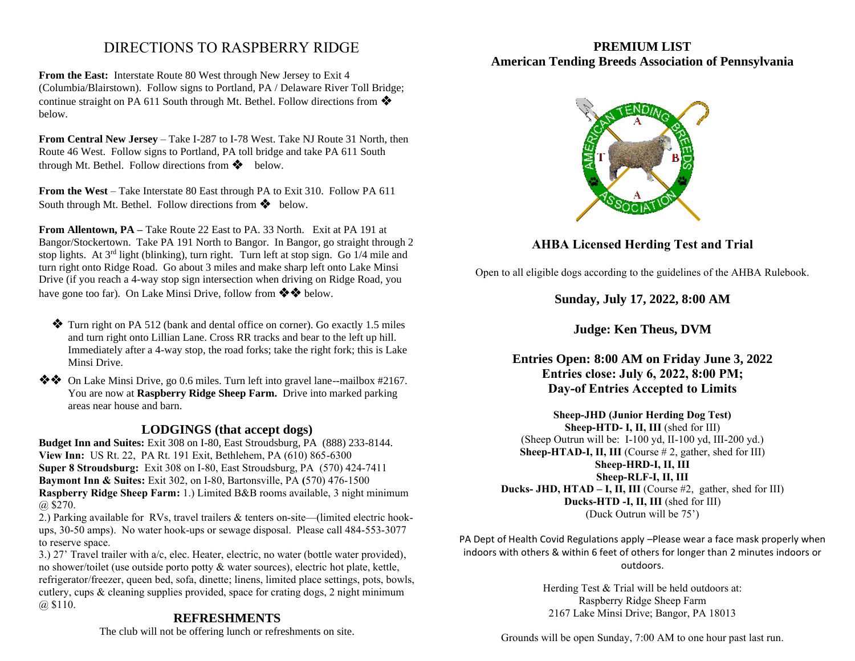# DIRECTIONS TO RASPBERRY RIDGE

**From the East:** Interstate Route 80 West through New Jersey to Exit 4 (Columbia/Blairstown). Follow signs to Portland, PA / Delaware River Toll Bridge; continue straight on PA 611 South through Mt. Bethel. Follow directions from ❖ below.

**From Central New Jersey** – Take I-287 to I-78 West. Take NJ Route 31 North, then Route 46 West. Follow signs to Portland, PA toll bridge and take PA 611 South through Mt. Bethel. Follow directions from ❖ below.

**From the West** – Take Interstate 80 East through PA to Exit 310. Follow PA 611 South through Mt. Bethel. Follow directions from ❖ below.

**From Allentown, PA –** Take Route 22 East to PA. 33 North. Exit at PA 191 at Bangor/Stockertown. Take PA 191 North to Bangor. In Bangor, go straight through 2 stop lights. At  $3<sup>rd</sup>$  light (blinking), turn right. Turn left at stop sign. Go  $1/4$  mile and turn right onto Ridge Road. Go about 3 miles and make sharp left onto Lake Minsi Drive (if you reach a 4-way stop sign intersection when driving on Ridge Road, you have gone too far). On Lake Minsi Drive, follow from ❖❖ below.

 ❖ Turn right on PA 512 (bank and dental office on corner). Go exactly 1.5 miles and turn right onto Lillian Lane. Cross RR tracks and bear to the left up hill. Immediately after a 4-way stop, the road forks; take the right fork; this is Lake Minsi Drive.

❖❖ On Lake Minsi Drive, go 0.6 miles. Turn left into gravel lane--mailbox #2167. You are now at **Raspberry Ridge Sheep Farm.** Drive into marked parking areas near house and barn.

## **LODGINGS (that accept dogs)**

**Budget Inn and Suites:** Exit 308 on I-80, East Stroudsburg, PA (888) 233-8144. **View Inn:** US Rt. 22, PA Rt. 191 Exit, Bethlehem, PA (610) 865-6300 **Super 8 Stroudsburg:** Exit 308 on I-80, East Stroudsburg, PA (570) 424-7411 **Baymont Inn & Suites:** Exit 302, on I-80, Bartonsville, PA **(**570) 476-1500 **Raspberry Ridge Sheep Farm:** 1.) Limited B&B rooms available, 3 night minimum @ \$270.

2.) Parking available for RVs, travel trailers & tenters on-site—(limited electric hookups, 30-50 amps). No water hook-ups or sewage disposal. Please call 484-553-3077 to reserve space.

3.) 27' Travel trailer with a/c, elec. Heater, electric, no water (bottle water provided), no shower/toilet (use outside porto potty & water sources), electric hot plate, kettle, refrigerator/freezer, queen bed, sofa, dinette; linens, limited place settings, pots, bowls, cutlery, cups & cleaning supplies provided, space for crating dogs, 2 night minimum  $(a)$  \$110.

## **REFRESHMENTS**

The club will not be offering lunch or refreshments on site.

## **PREMIUM LIST American Tending Breeds Association of Pennsylvania**



# **AHBA Licensed Herding Test and Trial**

Open to all eligible dogs according to the guidelines of the AHBA Rulebook.

## **Sunday, July 17, 2022, 8:00 AM**

**Judge: Ken Theus, DVM**

## **Entries Open: 8:00 AM on Friday June 3, 2022 Entries close: July 6, 2022, 8:00 PM; Day-of Entries Accepted to Limits**

**Sheep-JHD (Junior Herding Dog Test) Sheep-HTD- I, II, III** (shed for III) (Sheep Outrun will be:  $I-100$  yd,  $II-100$  yd,  $III-200$  yd.) Sheep-HTAD-I, II, III (Course # 2, gather, shed for III) **Sheep-HRD-I, II, III Sheep-RLF-I, II, III Ducks- JHD, HTAD – I, II, III** (Course #2, gather, shed for III) **Ducks-HTD -I, II, III** (shed for III) (Duck Outrun will be 75')

PA Dept of Health Covid Regulations apply –Please wear a face mask properly when indoors with others & within 6 feet of others for longer than 2 minutes indoors or outdoors.

> Herding Test & Trial will be held outdoors at: Raspberry Ridge Sheep Farm 2167 Lake Minsi Drive; Bangor, PA 18013

Grounds will be open Sunday, 7:00 AM to one hour past last run.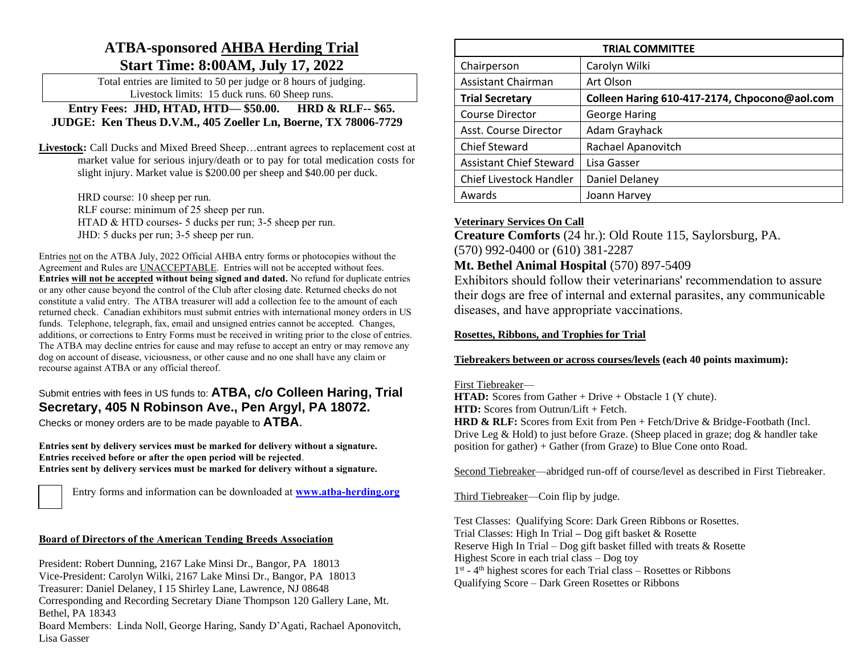# **ATBA-sponsored AHBA Herding Trial Start Time: 8:00AM, July 17, 2022**

Total entries are limited to 50 per judge or 8 hours of judging. Livestock limits: 15 duck runs. 60 Sheep runs.

**Entry Fees: JHD, HTAD, HTD— \$50.00. HRD & RLF-- \$65. JUDGE: Ken Theus D.V.M., 405 Zoeller Ln, Boerne, TX 78006-7729**

**Livestock:** Call Ducks and Mixed Breed Sheep…entrant agrees to replacement cost at market value for serious injury/death or to pay for total medication costs for slight injury. Market value is \$200.00 per sheep and \$40.00 per duck.

> HRD course: 10 sheep per run. RLF course: minimum of 25 sheep per run. HTAD & HTD courses- 5 ducks per run; 3-5 sheep per run. JHD: 5 ducks per run; 3-5 sheep per run.

Entries not on the ATBA July, 2022 Official AHBA entry forms or photocopies without the Agreement and Rules are UNACCEPTABLE. Entries will not be accepted without fees. **Entries will not be accepted without being signed and dated.** No refund for duplicate entries or any other cause beyond the control of the Club after closing date. Returned checks do not constitute a valid entry. The ATBA treasurer will add a collection fee to the amount of each returned check. Canadian exhibitors must submit entries with international money orders in US funds. Telephone, telegraph, fax, email and unsigned entries cannot be accepted. Changes, additions, or corrections to Entry Forms must be received in writing prior to the close of entries. The ATBA may decline entries for cause and may refuse to accept an entry or may remove any dog on account of disease, viciousness, or other cause and no one shall have any claim or recourse against ATBA or any official thereof.

## Submit entries with fees in US funds to: **ATBA, c/o Colleen Haring, Trial Secretary, 405 N Robinson Ave., Pen Argyl, PA 18072.**

Checks or money orders are to be made payable to **ATBA**.

**Entries sent by delivery services must be marked for delivery without a signature. Entries received before or after the open period will be rejected**. **Entries sent by delivery services must be marked for delivery without a signature.** 

Entry forms and information can be downloaded at **www.atba-herding.org**

## **Board of Directors of the American Tending Breeds Association**

President: Robert Dunning, 2167 Lake Minsi Dr., Bangor, PA 18013 Vice-President: Carolyn Wilki, 2167 Lake Minsi Dr., Bangor, PA 18013

Treasurer: Daniel Delaney, I 15 Shirley Lane, Lawrence, NJ 08648

Corresponding and Recording Secretary Diane Thompson 120 Gallery Lane, Mt. Bethel, PA 18343

Board Members: Linda Noll, George Haring, Sandy D'Agati, Rachael Aponovitch, Lisa Gasser

| <b>TRIAL COMMITTEE</b>         |                                               |  |  |  |
|--------------------------------|-----------------------------------------------|--|--|--|
| Chairperson                    | Carolyn Wilki                                 |  |  |  |
| Assistant Chairman             | Art Olson                                     |  |  |  |
| <b>Trial Secretary</b>         | Colleen Haring 610-417-2174, Chpocono@aol.com |  |  |  |
| <b>Course Director</b>         | <b>George Haring</b>                          |  |  |  |
| Asst. Course Director          | Adam Grayhack                                 |  |  |  |
| <b>Chief Steward</b>           | Rachael Apanovitch                            |  |  |  |
| <b>Assistant Chief Steward</b> | Lisa Gasser                                   |  |  |  |
| Chief Livestock Handler        | Daniel Delaney                                |  |  |  |
| Awards                         | Joann Harvey                                  |  |  |  |

## **Veterinary Services On Call**

**Creature Comforts** (24 hr.): Old Route 115, Saylorsburg, PA. (570) 992-0400 or (610) 381-2287

# **Mt. Bethel Animal Hospital** (570) 897-5409

Exhibitors should follow their veterinarians' recommendation to assure their dogs are free of internal and external parasites, any communicable diseases, and have appropriate vaccinations.

## **Rosettes, Ribbons, and Trophies for Trial**

## **Tiebreakers between or across courses/levels (each 40 points maximum):**

## First Tiebreaker—

**HTAD:** Scores from Gather + Drive + Obstacle 1 (Y chute). **HTD:** Scores from Outrun/Lift + Fetch. **HRD & RLF:** Scores from Exit from Pen + Fetch/Drive & Bridge-Footbath (Incl. Drive Leg & Hold) to just before Graze. (Sheep placed in graze; dog & handler take position for gather) + Gather (from Graze) to Blue Cone onto Road.

Second Tiebreaker—abridged run-off of course/level as described in First Tiebreaker.

Third Tiebreaker—Coin flip by judge.

Test Classes: Qualifying Score: Dark Green Ribbons or Rosettes. Trial Classes: High In Trial **–** Dog gift basket & Rosette Reserve High In Trial – Dog gift basket filled with treats  $\&$  Rosette Highest Score in each trial class – Dog toy 1<sup>st</sup> - 4<sup>th</sup> highest scores for each Trial class – Rosettes or Ribbons Qualifying Score – Dark Green Rosettes or Ribbons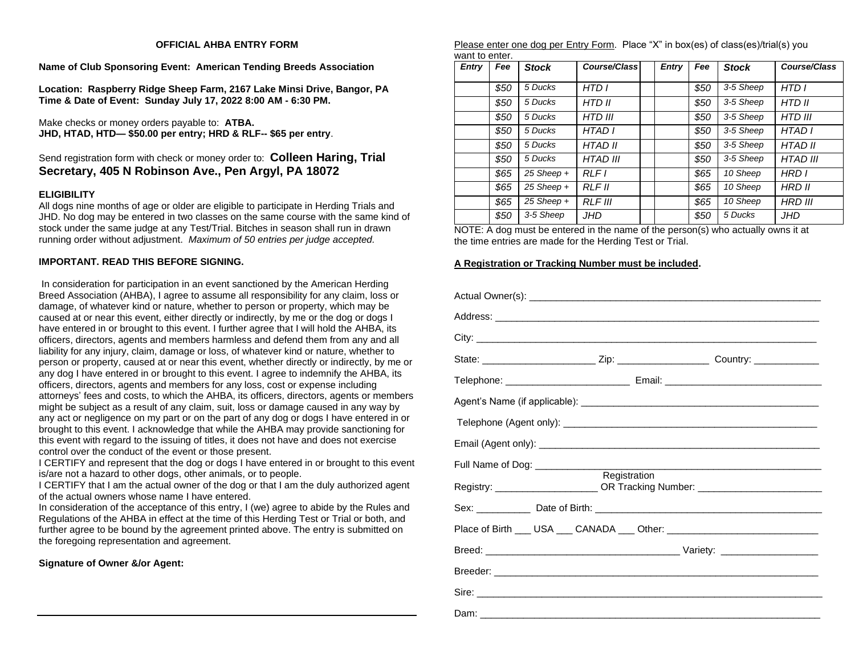#### **OFFICIAL AHBA ENTRY FORM**

**Name of Club Sponsoring Event: American Tending Breeds Association**

**Location: Raspberry Ridge Sheep Farm, 2167 Lake Minsi Drive, Bangor, PA Time & Date of Event: Sunday July 17, 2022 8:00 AM - 6:30 PM.** 

Make checks or money orders payable to: **ATBA. JHD, HTAD, HTD— \$50.00 per entry; HRD & RLF-- \$65 per entry**.

## Send registration form with check or money order to: **Colleen Haring, Trial Secretary, 405 N Robinson Ave., Pen Argyl, PA 18072**

#### **ELIGIBILITY**

All dogs nine months of age or older are eligible to participate in Herding Trials and JHD. No dog may be entered in two classes on the same course with the same kind of stock under the same judge at any Test/Trial. Bitches in season shall run in drawn running order without adjustment. *Maximum of 50 entries per judge accepted.*

#### **IMPORTANT. READ THIS BEFORE SIGNING.**

In consideration for participation in an event sanctioned by the American Herding Breed Association (AHBA), I agree to assume all responsibility for any claim, loss or damage, of whatever kind or nature, whether to person or property, which may be caused at or near this event, either directly or indirectly, by me or the dog or dogs I have entered in or brought to this event. I further agree that I will hold the AHBA, its officers, directors, agents and members harmless and defend them from any and all liability for any injury, claim, damage or loss, of whatever kind or nature, whether to person or property, caused at or near this event, whether directly or indirectly, by me or any dog I have entered in or brought to this event. I agree to indemnify the AHBA, its officers, directors, agents and members for any loss, cost or expense including attorneys' fees and costs, to which the AHBA, its officers, directors, agents or members might be subject as a result of any claim, suit, loss or damage caused in any way by any act or negligence on my part or on the part of any dog or dogs I have entered in or brought to this event. I acknowledge that while the AHBA may provide sanctioning for this event with regard to the issuing of titles, it does not have and does not exercise control over the conduct of the event or those present.

I CERTIFY and represent that the dog or dogs I have entered in or brought to this event is/are not a hazard to other dogs, other animals, or to people.

I CERTIFY that I am the actual owner of the dog or that I am the duly authorized agent of the actual owners whose name I have entered.

In consideration of the acceptance of this entry, I (we) agree to abide by the Rules and Regulations of the AHBA in effect at the time of this Herding Test or Trial or both, and further agree to be bound by the agreement printed above. The entry is submitted on the foregoing representation and agreement.

**Signature of Owner &/or Agent:** 

Please enter one dog per Entry Form. Place "X" in box(es) of class(es)/trial(s) you want to enter.

| <b>Entry</b> | Fee  | <b>Stock</b> | Course/Class    | <b>Entry</b> | Fee  | <b>Stock</b> | Course/Class    |
|--------------|------|--------------|-----------------|--------------|------|--------------|-----------------|
|              | \$50 | 5 Ducks      | HTD I           |              | \$50 | 3-5 Sheep    | HTD I           |
|              | \$50 | 5 Ducks      | HTD II          |              | \$50 | 3-5 Sheep    | HTD II          |
|              | \$50 | 5 Ducks      | <b>HTD III</b>  |              | \$50 | 3-5 Sheep    | <b>HTD III</b>  |
|              | \$50 | 5 Ducks      | HTAD I          |              | \$50 | 3-5 Sheep    | HTAD I          |
|              | \$50 | 5 Ducks      | <b>HTAD II</b>  |              | \$50 | 3-5 Sheep    | <b>HTAD II</b>  |
|              | \$50 | 5 Ducks      | <b>HTAD III</b> |              | \$50 | 3-5 Sheep    | <b>HTAD III</b> |
|              | \$65 | $25$ Sheep + | RIFI            |              | \$65 | 10 Sheep     | HRD I           |
|              | \$65 | $25$ Sheep + | <b>RLF II</b>   |              | \$65 | 10 Sheep     | HRD II          |
|              | \$65 | 25 Sheep +   | <b>RLF III</b>  |              | \$65 | 10 Sheep     | <b>HRD III</b>  |
|              | \$50 | 3-5 Sheep    | JHD             |              | \$50 | 5 Ducks      | JHD             |

NOTE: A dog must be entered in the name of the person(s) who actually owns it at the time entries are made for the Herding Test or Trial.

#### **A Registration or Tracking Number must be included.**

|  |              | State: _______________________________Zip: ___________________________Country: ____________________ |
|--|--------------|-----------------------------------------------------------------------------------------------------|
|  |              |                                                                                                     |
|  |              |                                                                                                     |
|  |              |                                                                                                     |
|  |              |                                                                                                     |
|  | Registration | Registry: _______________________OR Tracking Number: ___________________________                    |
|  |              |                                                                                                     |
|  |              | Place of Birth ___ USA ___ CANADA ___ Other: ___________________________________                    |
|  |              |                                                                                                     |
|  |              |                                                                                                     |
|  |              |                                                                                                     |
|  |              |                                                                                                     |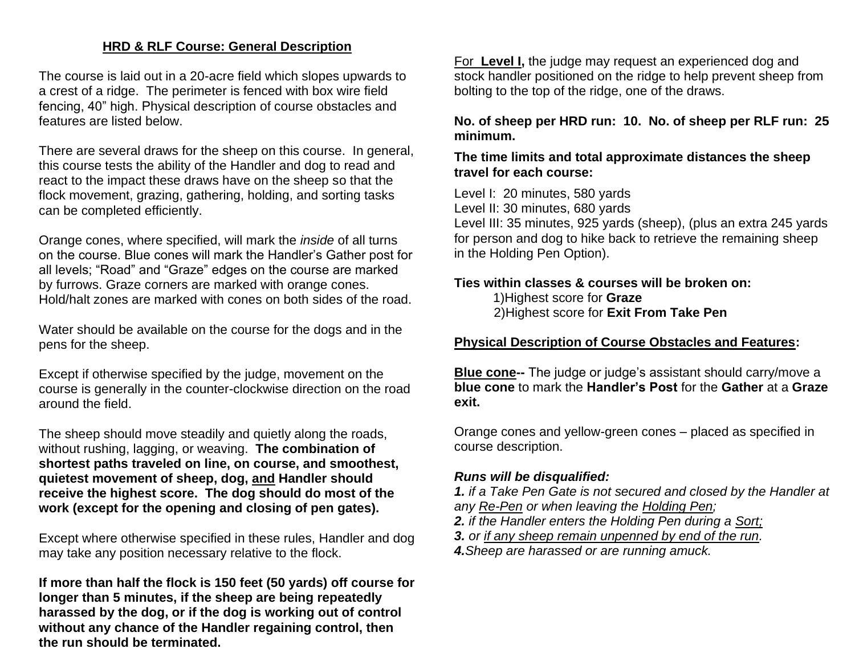## **HRD & RLF Course: General Description**

The course is laid out in a 20-acre field which slopes upwards to a crest of a ridge. The perimeter is fenced with box wire field fencing, 40" high. Physical description of course obstacles and features are listed below.

There are several draws for the sheep on this course. In general, this course tests the ability of the Handler and dog to read and react to the impact these draws have on the sheep so that the flock movement, grazing, gathering, holding, and sorting tasks can be completed efficiently.

Orange cones, where specified, will mark the *inside* of all turns on the course. Blue cones will mark the Handler's Gather post for all levels; "Road" and "Graze" edges on the course are marked by furrows. Graze corners are marked with orange cones. Hold/halt zones are marked with cones on both sides of the road.

Water should be available on the course for the dogs and in the pens for the sheep.

Except if otherwise specified by the judge, movement on the course is generally in the counter-clockwise direction on the road around the field.

The sheep should move steadily and quietly along the roads, without rushing, lagging, or weaving. **The combination of shortest paths traveled on line, on course, and smoothest, quietest movement of sheep, dog, and Handler should receive the highest score. The dog should do most of the work (except for the opening and closing of pen gates).**

Except where otherwise specified in these rules, Handler and dog may take any position necessary relative to the flock.

**If more than half the flock is 150 feet (50 yards) off course for longer than 5 minutes, if the sheep are being repeatedly harassed by the dog, or if the dog is working out of control without any chance of the Handler regaining control, then the run should be terminated.**

For **Level I,** the judge may request an experienced dog and stock handler positioned on the ridge to help prevent sheep from bolting to the top of the ridge, one of the draws.

**No. of sheep per HRD run: 10. No. of sheep per RLF run: 25 minimum.**

## **The time limits and total approximate distances the sheep travel for each course:**

Level I: 20 minutes, 580 yards

Level II: 30 minutes, 680 yards

Level III: 35 minutes, 925 yards (sheep), (plus an extra 245 yards for person and dog to hike back to retrieve the remaining sheep in the Holding Pen Option).

## **Ties within classes & courses will be broken on:**

1)Highest score for **Graze** 2)Highest score for **Exit From Take Pen**

**Physical Description of Course Obstacles and Features:** 

**Blue cone--** The judge or judge's assistant should carry/move a **blue cone** to mark the **Handler's Post** for the **Gather** at a **Graze exit.**

Orange cones and yellow-green cones – placed as specified in course description.

# *Runs will be disqualified:*

*1. if a Take Pen Gate is not secured and closed by the Handler at any Re-Pen or when leaving the Holding Pen;* 

*2. if the Handler enters the Holding Pen during a Sort;*

*3. or if any sheep remain unpenned by end of the run. 4.Sheep are harassed or are running amuck.*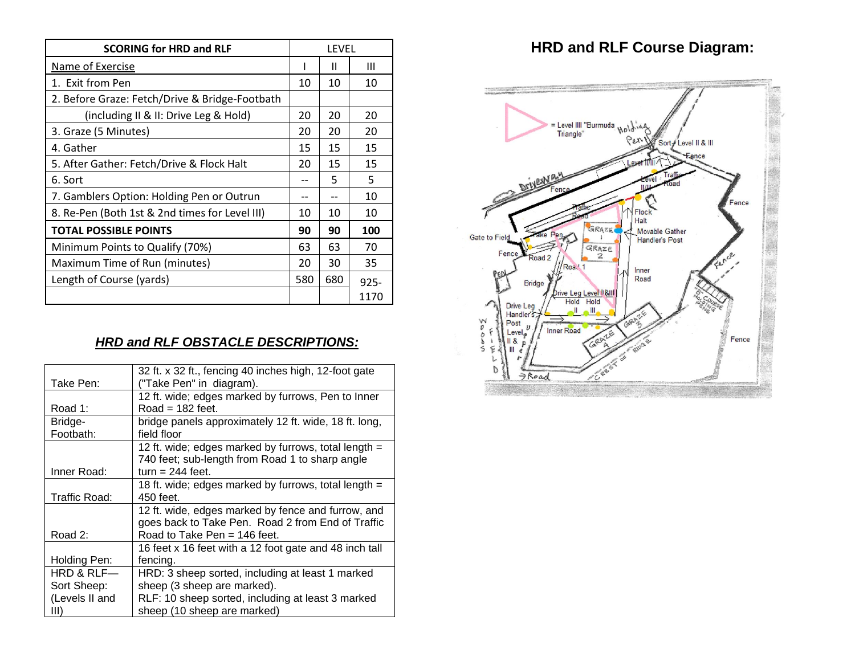| <b>SCORING for HRD and RLF</b>                 |     | LEVEL |         |  |
|------------------------------------------------|-----|-------|---------|--|
| Name of Exercise                               |     | Ш     | Ш       |  |
| 1. Exit from Pen                               | 10  | 10    | 10      |  |
| 2. Before Graze: Fetch/Drive & Bridge-Footbath |     |       |         |  |
| (including II & II: Drive Leg & Hold)          | 20  | 20    | 20      |  |
| 3. Graze (5 Minutes)                           | 20  | 20    | 20      |  |
| 4. Gather                                      | 15  | 15    | 15      |  |
| 5. After Gather: Fetch/Drive & Flock Halt      | 20  | 15    | 15      |  |
| 6. Sort                                        |     | 5     | 5       |  |
| 7. Gamblers Option: Holding Pen or Outrun      |     | --    | 10      |  |
| 8. Re-Pen (Both 1st & 2nd times for Level III) | 10  | 10    | 10      |  |
| <b>TOTAL POSSIBLE POINTS</b>                   | 90  | 90    | 100     |  |
| Minimum Points to Qualify (70%)                | 63  | 63    | 70      |  |
| Maximum Time of Run (minutes)                  | 20  | 30    | 35      |  |
| Length of Course (yards)                       | 580 | 680   | $925 -$ |  |
|                                                |     |       | 1170    |  |

# *HRD and RLF OBSTACLE DESCRIPTIONS:*

| 32 ft. x 32 ft., fencing 40 inches high, 12-foot gate<br>12 ft. wide; edges marked by furrows, Pen to Inner |
|-------------------------------------------------------------------------------------------------------------|
|                                                                                                             |
|                                                                                                             |
|                                                                                                             |
| bridge panels approximately 12 ft. wide, 18 ft. long,                                                       |
|                                                                                                             |
| 12 ft. wide; edges marked by furrows, total length $=$                                                      |
| 740 feet; sub-length from Road 1 to sharp angle                                                             |
|                                                                                                             |
| 18 ft. wide; edges marked by furrows, total length =                                                        |
|                                                                                                             |
| 12 ft. wide, edges marked by fence and furrow, and                                                          |
| goes back to Take Pen. Road 2 from End of Traffic                                                           |
|                                                                                                             |
| 16 feet x 16 feet with a 12 foot gate and 48 inch tall                                                      |
|                                                                                                             |
| HRD: 3 sheep sorted, including at least 1 marked                                                            |
|                                                                                                             |
| RLF: 10 sheep sorted, including at least 3 marked                                                           |
|                                                                                                             |
|                                                                                                             |

# **HRD and RLF Course Diagram:**

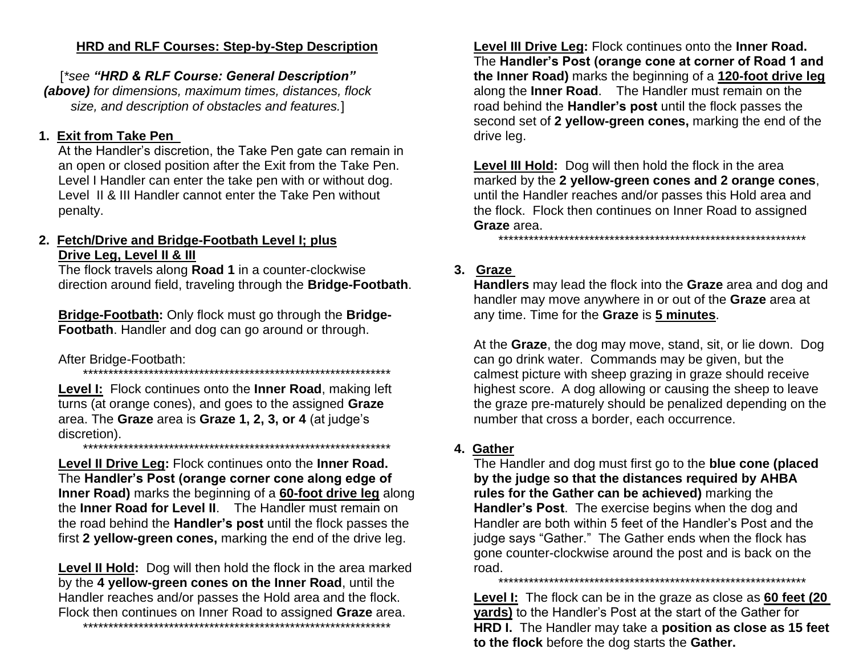## HRD and RLF Courses: Step-by-Step Description

[\*see "HRD & RLF Course: General Description" (above) for dimensions, maximum times, distances, flock size, and description of obstacles and features.]

# 1. Exit from Take Pen

At the Handler's discretion, the Take Pen gate can remain in an open or closed position after the Exit from the Take Pen. Level I Handler can enter the take pen with or without dog. Level II & III Handler cannot enter the Take Pen without penalty.

## 2. Fetch/Drive and Bridge-Footbath Level I; plus Drive Leq, Level II & III

The flock travels along Road 1 in a counter-clockwise direction around field, traveling through the Bridge-Footbath.

Bridge-Footbath: Only flock must go through the Bridge-Footbath. Handler and dog can go around or through.

#### After Bridge-Footbath:

Level I: Flock continues onto the Inner Road, making left turns (at orange cones), and goes to the assigned Graze area. The Graze area is Graze 1, 2, 3, or 4 (at judge's discretion). 

Level II Drive Leg: Flock continues onto the Inner Road. The Handler's Post (orange corner cone along edge of Inner Road) marks the beginning of a 60-foot drive leg along the Inner Road for Level II. The Handler must remain on the road behind the **Handler's post** until the flock passes the first 2 yellow-green cones, marking the end of the drive leg.

**Level II Hold:** Dog will then hold the flock in the area marked by the 4 yellow-green cones on the Inner Road, until the Handler reaches and/or passes the Hold area and the flock. Flock then continues on Inner Road to assigned Graze area. 

Level III Drive Leg: Flock continues onto the Inner Road. The Handler's Post (orange cone at corner of Road 1 and the Inner Road) marks the beginning of a 120-foot drive leg along the Inner Road. The Handler must remain on the road behind the Handler's post until the flock passes the second set of 2 yellow-green cones, marking the end of the drive leg.

Level III Hold: Dog will then hold the flock in the area marked by the 2 yellow-green cones and 2 orange cones, until the Handler reaches and/or passes this Hold area and the flock. Flock then continues on Inner Road to assigned Graze area.

3. Graze

Handlers may lead the flock into the Graze area and dog and handler may move anywhere in or out of the Graze area at any time. Time for the Graze is 5 minutes.

At the Graze, the dog may move, stand, sit, or lie down. Dog can go drink water. Commands may be given, but the calmest picture with sheep grazing in graze should receive highest score. A dog allowing or causing the sheep to leave the graze pre-maturely should be penalized depending on the number that cross a border, each occurrence.

# 4. Gather

The Handler and dog must first go to the blue cone (placed by the judge so that the distances required by AHBA rules for the Gather can be achieved) marking the Handler's Post. The exercise begins when the dog and Handler are both within 5 feet of the Handler's Post and the judge says "Gather." The Gather ends when the flock has gone counter-clockwise around the post and is back on the road 

Level I: The flock can be in the graze as close as 60 feet (20 vards) to the Handler's Post at the start of the Gather for **HRD I.** The Handler may take a **position as close as 15 feet** to the flock before the dog starts the Gather.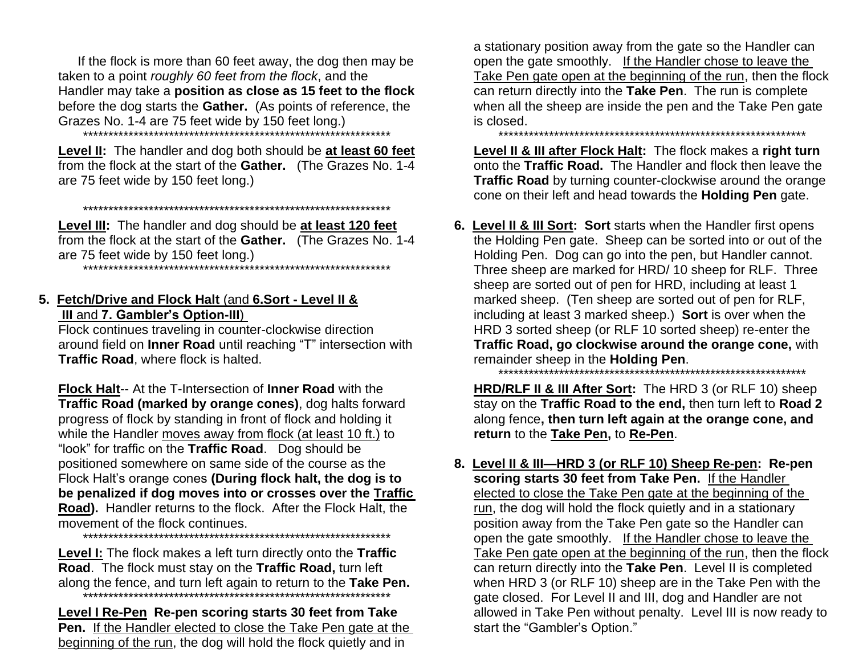If the flock is more than 60 feet away, the dog then may be taken to a point roughly 60 feet from the flock, and the Handler may take a position as close as 15 feet to the flock before the dog starts the **Gather.** (As points of reference, the Grazes No. 1-4 are 75 feet wide by 150 feet long.)

Level II: The handler and dog both should be at least 60 feet from the flock at the start of the Gather. (The Grazes No. 1-4 are 75 feet wide by 150 feet long.)

Level III: The handler and dog should be at least 120 feet from the flock at the start of the Gather. (The Grazes No. 1-4 

## 5. Fetch/Drive and Flock Halt (and 6.Sort - Level II & III and 7. Gambler's Option-III)

Flock continues traveling in counter-clockwise direction around field on Inner Road until reaching "T" intersection with Traffic Road, where flock is halted.

**Flock Halt-- At the T-Intersection of Inner Road with the** Traffic Road (marked by orange cones), dog halts forward progress of flock by standing in front of flock and holding it while the Handler moves away from flock (at least 10 ft.) to "look" for traffic on the Traffic Road. Dog should be positioned somewhere on same side of the course as the Flock Halt's orange cones (During flock halt, the dog is to be penalized if dog moves into or crosses over the Traffic Road). Handler returns to the flock. After the Flock Halt, the movement of the flock continues.

Level I: The flock makes a left turn directly onto the Traffic Road. The flock must stay on the Traffic Road, turn left along the fence, and turn left again to return to the Take Pen. 

Level I Re-Pen Re-pen scoring starts 30 feet from Take **Pen.** If the Handler elected to close the Take Pen gate at the beginning of the run, the dog will hold the flock quietly and in

a stationary position away from the gate so the Handler can open the gate smoothly. If the Handler chose to leave the Take Pen gate open at the beginning of the run, then the flock can return directly into the Take Pen. The run is complete when all the sheep are inside the pen and the Take Pen gate is closed.

Level II & III after Flock Halt: The flock makes a right turn onto the Traffic Road. The Handler and flock then leave the Traffic Road by turning counter-clockwise around the orange cone on their left and head towards the **Holding Pen** gate.

6. Level II & III Sort: Sort starts when the Handler first opens the Holding Pen gate. Sheep can be sorted into or out of the Holding Pen. Dog can go into the pen, but Handler cannot. Three sheep are marked for HRD/10 sheep for RLF. Three sheep are sorted out of pen for HRD, including at least 1 marked sheep. (Ten sheep are sorted out of pen for RLF, including at least 3 marked sheep.) Sort is over when the HRD 3 sorted sheep (or RLF 10 sorted sheep) re-enter the Traffic Road, go clockwise around the orange cone, with remainder sheep in the Holding Pen.

HRD/RLF II & III After Sort: The HRD 3 (or RLF 10) sheep stay on the Traffic Road to the end, then turn left to Road 2 along fence, then turn left again at the orange cone, and return to the Take Pen, to Re-Pen.

8. Level II & III-HRD 3 (or RLF 10) Sheep Re-pen: Re-pen scoring starts 30 feet from Take Pen. If the Handler elected to close the Take Pen gate at the beginning of the run, the dog will hold the flock quietly and in a stationary position away from the Take Pen gate so the Handler can open the gate smoothly. If the Handler chose to leave the Take Pen gate open at the beginning of the run, then the flock can return directly into the Take Pen. Level II is completed when HRD 3 (or RLF 10) sheep are in the Take Pen with the gate closed. For Level II and III, dog and Handler are not allowed in Take Pen without penalty. Level III is now ready to start the "Gambler's Option."